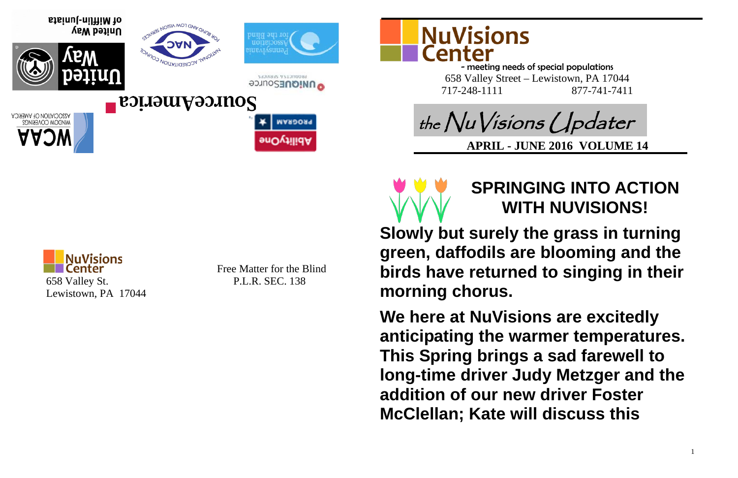Free Matter for the Blind







- meeting needs of special populations 658 Valley Street – Lewistown, PA 17044 717-248-1111 877-741-7411

## **SPRINGING INTO ACTION WITH NUVISIONS!**

**Slowly but surely the grass in turning green, daffodils are blooming and the birds have returned to singing in their morning chorus.**

**We here at NuVisions are excitedly anticipating the warmer temperatures. This Spring brings a sad farewell to long-time driver Judy Metzger and the addition of our new driver Foster McClellan; Kate will discuss this** 



**SENANS Y SEXIOURS O UNIQUESOUTCE** 



of Mifflin-Juniata United Way



V22OCIVIION OE VWEBICY<br>MINDOM COAEBING2

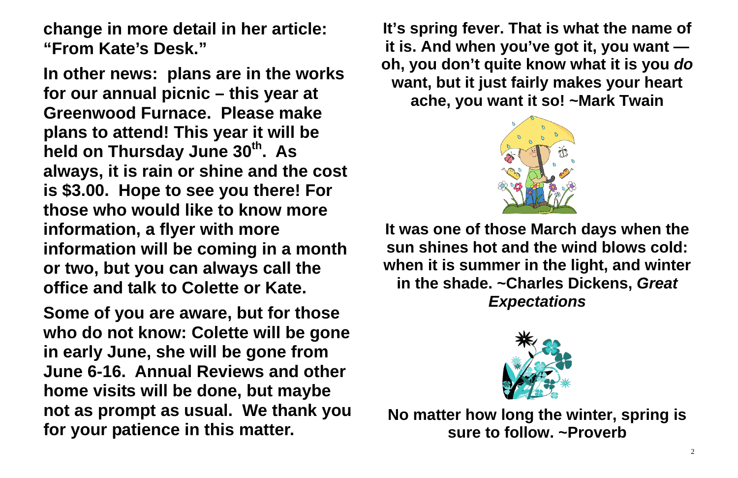**change in more detail in her article: "From Kate's Desk."**

**In other news: plans are in the works for our annual picnic – this year at Greenwood Furnace. Please make plans to attend! This year it will be held on Thursday June 30th. As always, it is rain or shine and the cost is \$3.00. Hope to see you there! For those who would like to know more information, a flyer with more information will be coming in a month or two, but you can always call the office and talk to Colette or Kate.** 

**Some of you are aware, but for those who do not know: Colette will be gone in early June, she will be gone from June 6-16. Annual Reviews and other home visits will be done, but maybe not as prompt as usual. We thank you for your patience in this matter.**

**It's spring fever. That is what the name of it is. And when you've got it, you want oh, you don't quite know what it is you** *do* **want, but it just fairly makes your heart ache, you want it so! ~Mark Twain**



**It was one of those March days when the sun shines hot and the wind blows cold: when it is summer in the light, and winter in the shade. ~Charles Dickens,** *Great Expectations*



**No matter how long the winter, spring is sure to follow. ~Proverb**

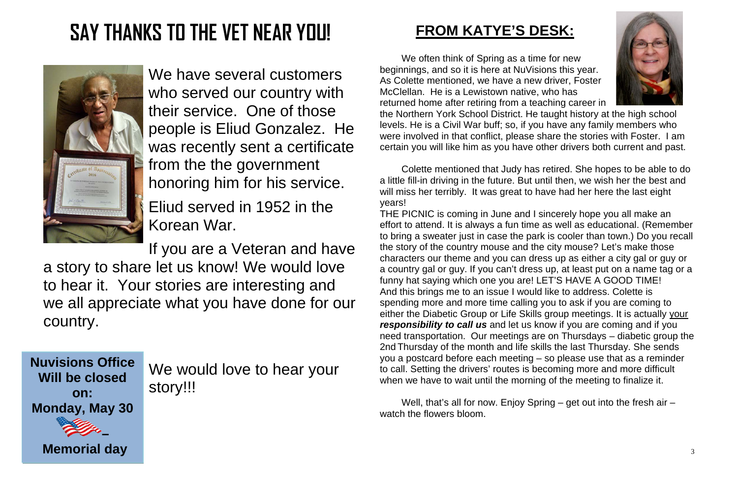**Nuvisions Office Will be closed on: Monday, May 30** 

**–**



**Memorial day**

# **SAY THANKS TO THE VET NEAR YOU!**



We have several customers who served our country with their service. One of those people is Eliud Gonzalez. He was recently sent a certificate from the the government honoring him for his service.

Eliud served in 1952 in the Korean War.

If you are a Veteran and have a story to share let us know! We would love to hear it. Your stories are interesting and we all appreciate what you have done for our country.

> We would love to hear your story!!!

### **FROM KATYE'S DESK:**

We often think of Spring as a time for new beginnings, and so it is here at NuVisions this year. As Colette mentioned, we have a new driver, Foster McClellan. He is a Lewistown native, who has returned home after retiring from a teaching career in the Northern York School District. He taught history at the high school levels. He is a Civil War buff; so, if you have any family members who were involved in that conflict, please share the stories with Foster. I am certain you will like him as you have other drivers both current and past.

Colette mentioned that Judy has retired. She hopes to be able to do a little fill-in driving in the future. But until then, we wish her the best and will miss her terribly. It was great to have had her here the last eight years!

Well, that's all for now. Enjoy Spring – get out into the fresh air – watch the flowers bloom.

THE PICNIC is coming in June and I sincerely hope you all make an effort to attend. It is always a fun time as well as educational. (Remember to bring a sweater just in case the park is cooler than town.) Do you recall the story of the country mouse and the city mouse? Let's make those characters our theme and you can dress up as either a city gal or guy or a country gal or guy. If you can't dress up, at least put on a name tag or a funny hat saying which one you are! LET'S HAVE A GOOD TIME! And this brings me to an issue I would like to address. Colette is spending more and more time calling you to ask if you are coming to either the Diabetic Group or Life Skills group meetings. It is actually your *responsibility to call us* and let us know if you are coming and if you need transportation. Our meetings are on Thursdays – diabetic group the 2nd Thursday of the month and life skills the last Thursday. She sends you a postcard before each meeting – so please use that as a reminder to call. Setting the drivers' routes is becoming more and more difficult when we have to wait until the morning of the meeting to finalize it.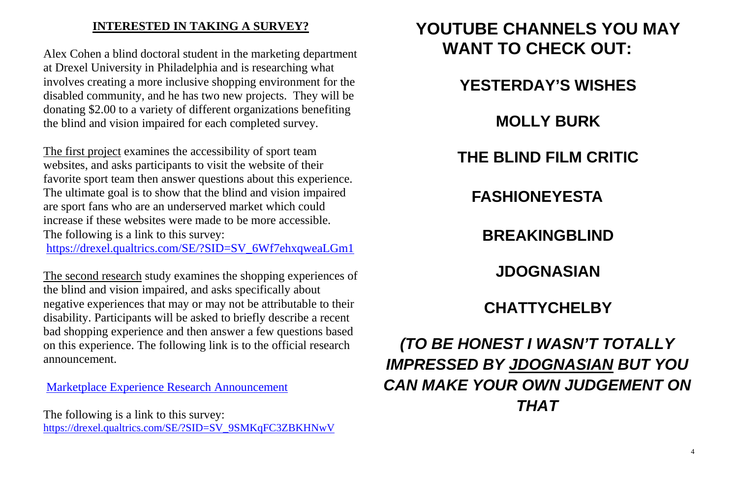### **INTERESTED IN TAKING A SURVEY?**

Alex Cohen a blind doctoral student in the marketing department at Drexel University in Philadelphia and is researching what involves creating a more inclusive shopping environment for the disabled community, and he has two new projects. They will be donating \$2.00 to a variety of different organizations benefiting the blind and vision impaired for each completed survey.

The first project examines the accessibility of sport team websites, and asks participants to visit the website of their favorite sport team then answer questions about this experience. The ultimate goal is to show that the blind and vision impaired are sport fans who are an underserved market which could increase if these websites were made to be more accessible. The following is a link to this survey:

[https://drexel.qualtrics.com/SE/?SID=SV\\_6Wf7ehxqweaLGm1](https://drexel.qualtrics.com/SE/?SID=SV_6Wf7ehxqweaLGm1)

The second research study examines the shopping experiences of the blind and vision impaired, and asks specifically about negative experiences that may or may not be attributable to their disability. Participants will be asked to briefly describe a recent bad shopping experience and then answer a few questions based on this experience. The following link is to the official research announcement.

Marketplace Experience Research Announcement

The following is a link to this survey: [https://drexel.qualtrics.com/SE/?SID=SV\\_9SMKqFC3ZBKHNwV](https://drexel.qualtrics.com/SE/?SID=SV_9SMKqFC3ZBKHNwV)

## **YOUTUBE CHANNELS YOU MAY WANT TO CHECK OUT:**

- **YESTERDAY'S WISHES**
	- **MOLLY BURK**
- **THE BLIND FILM CRITIC**
	-
	- **BREAKINGBLIND**
		- **JDOGNASIAN**
	- **CHATTYCHELBY**

**FASHIONEYESTA**

*(TO BE HONEST I WASN'T TOTALLY IMPRESSED BY JDOGNASIAN BUT YOU CAN MAKE YOUR OWN JUDGEMENT ON THAT*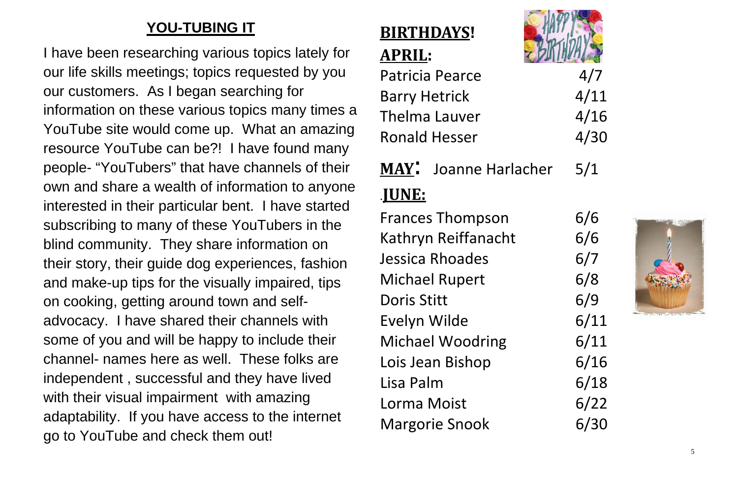### **YOU-TUBING IT**

I have been researching various topics lately for our life skills meetings; topics requested by you our customers. As I began searching for information on these various topics many times a YouTube site would come up. What an amazing resource YouTube can be?! I have found many people- "YouTubers" that have channels of their own and share a wealth of information to anyone interested in their particular bent. I have started subscribing to many of these YouTubers in the blind community. They share information on their story, their guide dog experiences, fashion and make-up tips for the visually impaired, tips on cooking, getting around town and selfadvocacy. I have shared their channels with some of you and will be happy to include their channel- names here as well. These folks are independent , successful and they have lived with their visual impairment with amazing adaptability. If you have access to the internet go to YouTube and check them out!

### **BIRTHDAYS! APRIL:**

Patricia Pearce 4/7 Barry Hetrick 4/11 Thelma Lauver 4/16 Ronald Hesser 4/30



**MAY**: Joanne Harlacher 5/1 .**JUNE:**

Frances Thompson 6/6 Kathryn Reiffanacht 6/6 Jessica Rhoades 6/7 Michael Rupert 6/8 Doris Stitt 6/9 Evelyn Wilde 6/11 Michael Woodring 6/11 Lois Jean Bishop 6/16 Lisa Palm 6/18 Lorma Moist 6/22 Margorie Snook 6/30



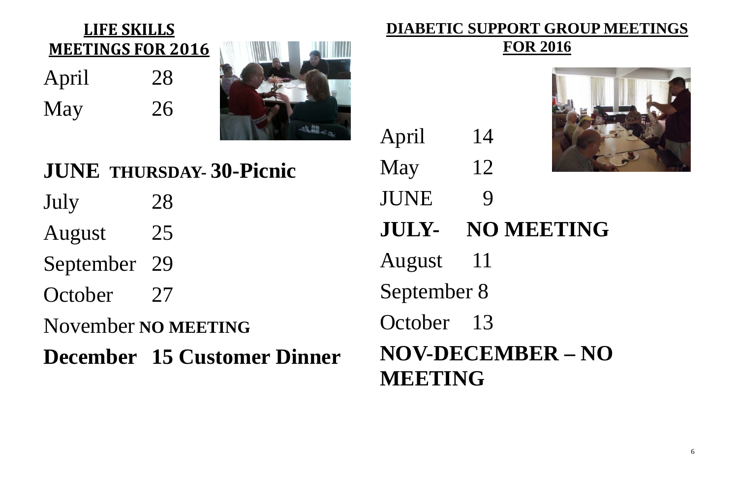6

April 28 May 26

### **LIFE SKILLS MEETINGS FOR 2016**



### **JUNE THURSDAY- 30-Picnic** July 28 August 25 September 29 October 27 November **NO MEETING December 15 Customer Dinner** May 12 JUNE 9 **JULY- NO MEETING** August 11 September 8 October 13 **NOV-DECEMBER – NO**

### **DIABETIC SUPPORT GROUP MEETINGS FOR 2016**



April 14

**MEETING**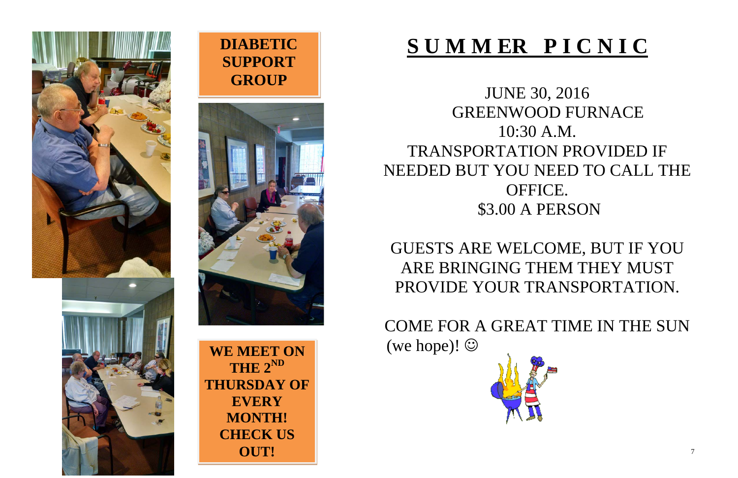# **S U M M ER P I C N I C**

JUNE 30, 2016 GREENWOOD FURNACE 10:30 A.M. TRANSPORTATION PROVIDED IF NEEDED BUT YOU NEED TO CALL THE OFFICE. \$3.00 A PERSON

GUESTS ARE WELCOME, BUT IF YOU ARE BRINGING THEM THEY MUST PROVIDE YOUR TRANSPORTATION.

COME FOR A GREAT TIME IN THE SUN (we hope)!







**WE MEET ON THE 2ND THURSDAY OF EVERY MONTH! CHECK US OUT!**